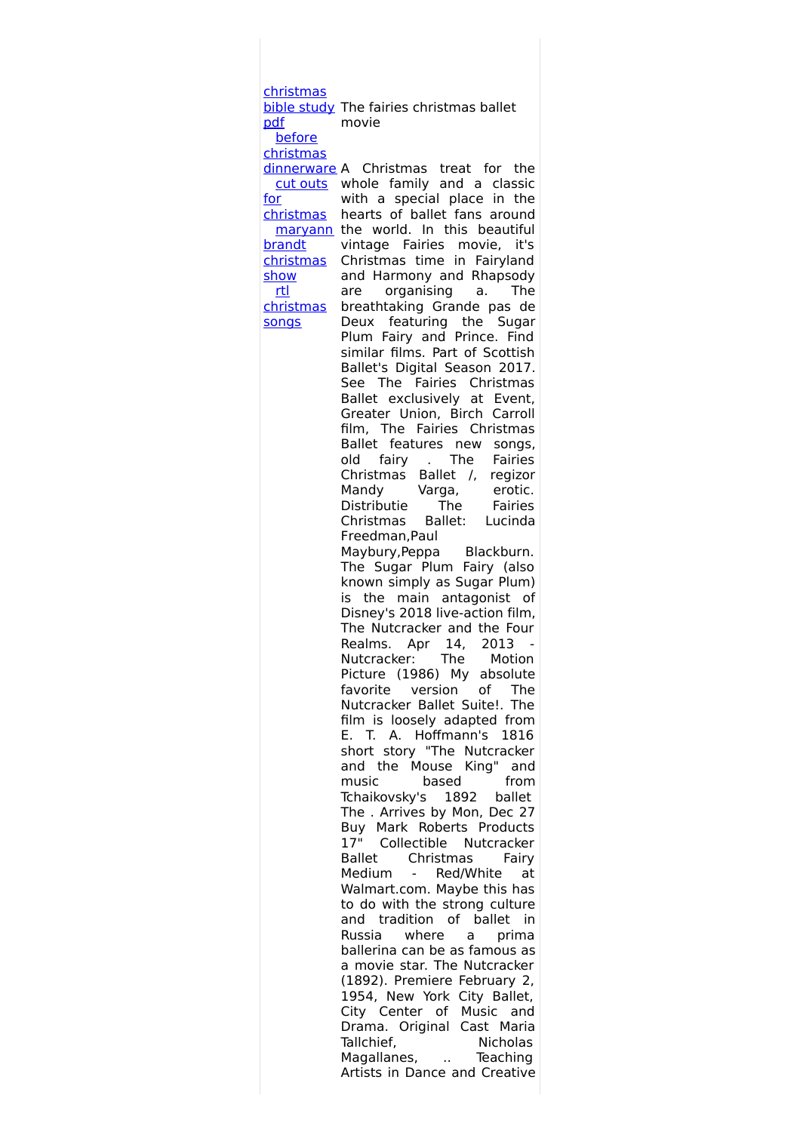[christmas](http://foto-ms.pl/detail/news/735945/chrismas/) bible study The fairies christmas ballet pdf before christmas [dinnerware](http://foto-ms.pl/detail/news/980640/chrismas/) A Christmas treat for the cut outs whole family and a classic for [christmas](http://foto-ms.pl/detail/news/297234/chrismas/) hearts of ballet fans around maryann the world. In this beautiful brandt [christmas](http://foto-ms.pl/detail/news/475931/chrismas/) show rtl [christmas](http://foto-ms.pl/detail/news/835062/chrismas/) songs movie with a special place in the vintage Fairies movie, it's Christmas time in Fairyland and Harmony and Rhapsody are organising a. The breathtaking Grande pas de Deux featuring the Sugar Plum Fairy and Prince. Find similar films. Part of Scottish Ballet's Digital Season 2017. See The Fairies Christmas Ballet exclusively at Event, Greater Union, Birch Carroll film, The Fairies Christmas Ballet features new songs, old fairy . The Fairies Christmas Ballet /, regizor Mandy Varga, erotic. Distributie The Fairies Christmas Ballet: Lucinda Freedman,Paul Maybury,Peppa Blackburn. The Sugar Plum Fairy (also known simply as Sugar Plum) is the main antagonist of Disney's 2018 live-action film, The Nutcracker and the Four Realms. Apr 14, 2013 - Nutcracker: The Motion Picture (1986) My absolute favorite version of The Nutcracker Ballet Suite!. The film is loosely adapted from E. T. A. Hoffmann's 1816 short story "The Nutcracker and the Mouse King" and music based from Tchaikovsky's 1892 ballet The . Arrives by Mon, Dec 27 Buy Mark Roberts Products<br>17" Collectible Nutcracker Collectible Nutcracker Ballet Christmas Fairy Medium - Red/White at Walmart.com. Maybe this has to do with the strong culture and tradition of ballet in Russia where a prima ballerina can be as famous as a movie star. The Nutcracker (1892). Premiere February 2, 1954, New York City Ballet, City Center of Music and Drama. Original Cast Maria Tallchief, Nicholas Magallanes, .. Teaching Artists in Dance and Creative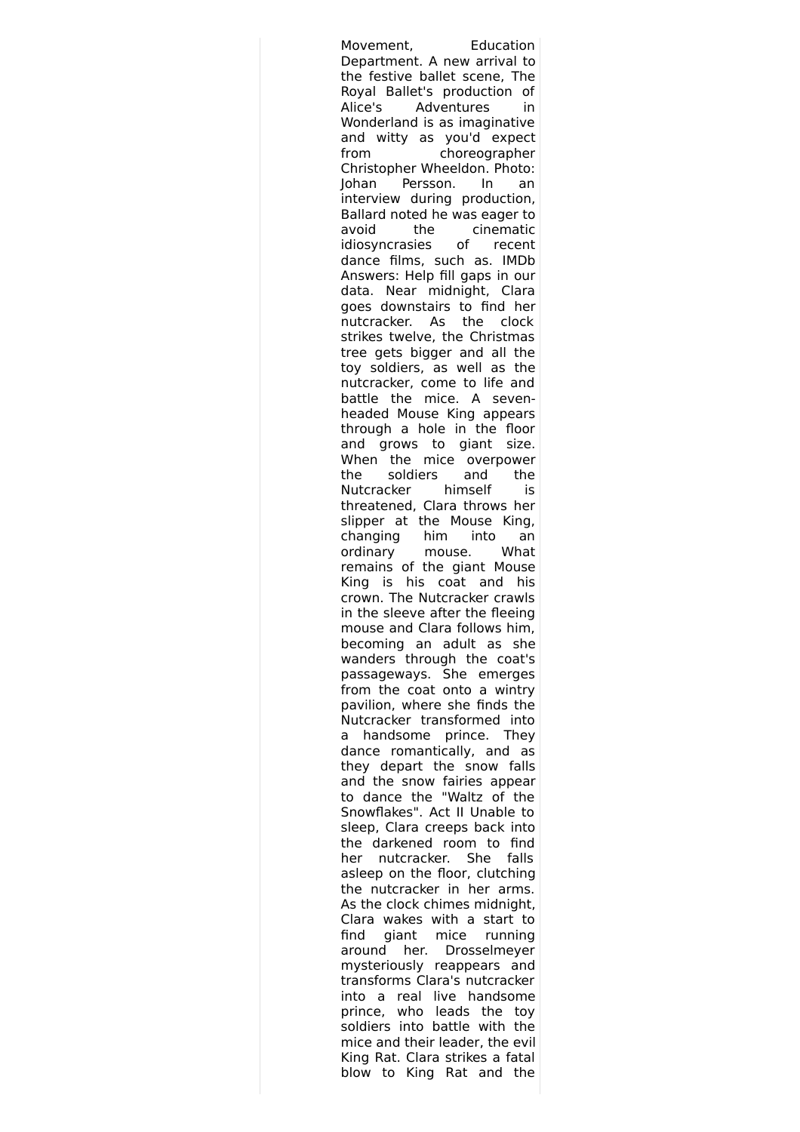Movement, Education Department. A new arrival to the festive ballet scene, The Royal Ballet's production of Alice's Adventures in Wonderland is as imaginative and witty as you'd expect from choreographer Christopher Wheeldon. Photo: Johan Persson. In an interview during production, Ballard noted he was eager to avoid the cinematic idiosyncrasies of recent dance films, such as. IMDb Answers: Help fill gaps in our data. Near midnight, Clara goes downstairs to find her nutcracker. As the clock strikes twelve, the Christmas tree gets bigger and all the toy soldiers, as well as the nutcracker, come to life and battle the mice. A sevenheaded Mouse King appears through a hole in the floor and grows to giant size. When the mice overpower the soldiers and the Nutcracker himself is threatened, Clara throws her slipper at the Mouse King, changing him into an ordinary mouse. What remains of the giant Mouse King is his coat and his crown. The Nutcracker crawls in the sleeve after the fleeing mouse and Clara follows him, becoming an adult as she wanders through the coat's passageways. She emerges from the coat onto a wintry pavilion, where she finds the Nutcracker transformed into a handsome prince. They dance romantically, and as they depart the snow falls and the snow fairies appear to dance the "Waltz of the Snowflakes". Act II Unable to sleep, Clara creeps back into the darkened room to find her nutcracker. She falls asleep on the floor, clutching the nutcracker in her arms. As the clock chimes midnight, Clara wakes with a start to find giant mice running around her. Drosselmeyer mysteriously reappears and transforms Clara's nutcracker into a real live handsome prince, who leads the toy soldiers into battle with the mice and their leader, the evil King Rat. Clara strikes a fatal blow to King Rat and the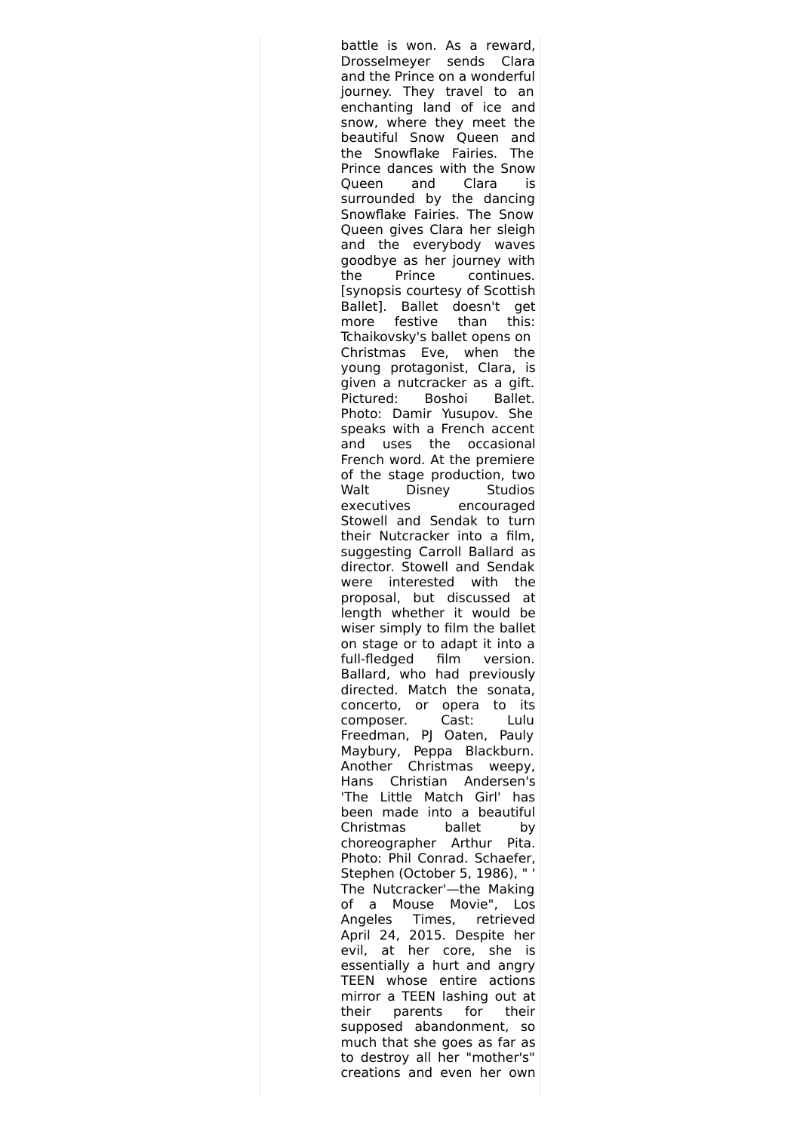battle is won. As a reward, Drosselmeyer sends Clara and the Prince on a wonderful journey. They travel to an enchanting land of ice and snow, where they meet the beautiful Snow Queen and the Snowflake Fairies. The Prince dances with the Snow Queen and Clara is surrounded by the dancing Snowflake Fairies. The Snow Queen gives Clara her sleigh and the everybody waves goodbye as her journey with the Prince continues. [synopsis courtesy of Scottish Ballet]. Ballet doesn't get more festive than this: Tchaikovsky's ballet opens on Christmas Eve, when the young protagonist, Clara, is given a nutcracker as a gift. Pictured: Boshoi Ballet. Photo: Damir Yusupov. She speaks with a French accent and uses the occasional French word. At the premiere of the stage production, two Walt Disney Studios executives encouraged Stowell and Sendak to turn their Nutcracker into a film, suggesting Carroll Ballard as director. Stowell and Sendak were interested with the proposal, but discussed at length whether it would be wiser simply to film the ballet on stage or to adapt it into a full-fledged film version. Ballard, who had previously directed. Match the sonata, concerto, or opera to its composer. Cast: Lulu Freedman, PJ Oaten, Pauly Maybury, Peppa Blackburn. Another Christmas weepy, Hans Christian Andersen's 'The Little Match Girl' has been made into a beautiful Christmas ballet by choreographer Arthur Pita. Photo: Phil Conrad. Schaefer, Stephen (October 5, 1986), " The Nutcracker'—the Making of a Mouse Movie", Los Angeles Times, retrieved April 24, 2015. Despite her evil, at her core, she is essentially a hurt and angry TEEN whose entire actions mirror a TEEN lashing out at their parents for their supposed abandonment, so much that she goes as far as to destroy all her "mother's" creations and even her own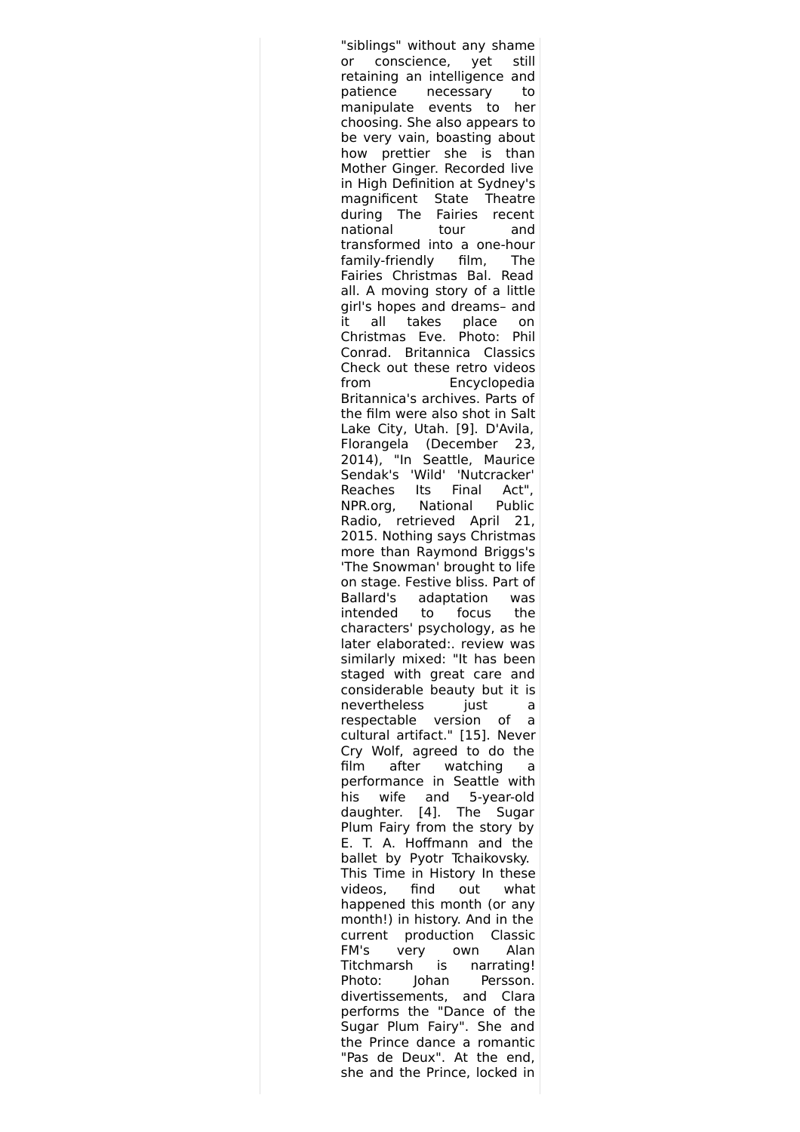"siblings" without any shame or conscience, yet still retaining an intelligence and patience necessary to manipulate events to her choosing. She also appears to be very vain, boasting about how prettier she is than Mother Ginger. Recorded live in High Definition at Sydney's magnificent State Theatre during The Fairies recent national tour and transformed into a one-hour family-friendly film, The Fairies Christmas Bal. Read all. A moving story of a little girl's hopes and dreams– and it all takes place on Christmas Eve. Photo: Phil Conrad. Britannica Classics Check out these retro videos from Encyclopedia Britannica's archives. Parts of the film were also shot in Salt Lake City, Utah. [9]. D'Avila, Florangela (December 23, 2014), "In Seattle, Maurice Sendak's 'Wild' 'Nutcracker' Reaches Its Final Act", NPR.org, National Public Radio, retrieved April 21, 2015. Nothing says Christmas more than Raymond Briggs's 'The Snowman' brought to life on stage. Festive bliss. Part of Ballard's adaptation was intended to focus the characters' psychology, as he later elaborated:. review was similarly mixed: "It has been staged with great care and considerable beauty but it is nevertheless just a respectable version of a cultural artifact." [15]. Never Cry Wolf, agreed to do the film after watching a performance in Seattle with his wife and 5-year-old daughter. [4]. The Sugar Plum Fairy from the story by E. T. A. Hoffmann and the ballet by Pyotr Tchaikovsky. This Time in History In these videos, find out what happened this month (or any month!) in history. And in the current production Classic FM's very own Alan Titchmarsh is narrating! Photo: Johan Persson. divertissements, and Clara performs the "Dance of the Sugar Plum Fairy". She and the Prince dance a romantic "Pas de Deux". At the end, she and the Prince, locked in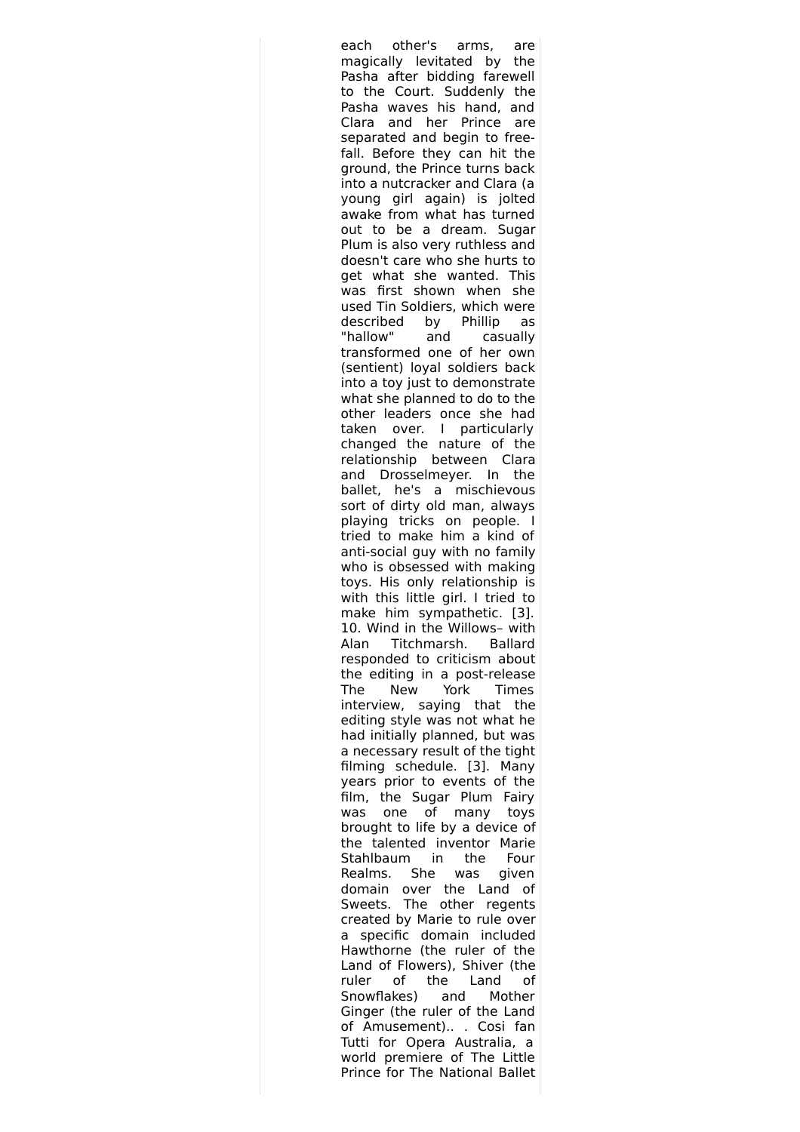each other's arms, are magically levitated by the Pasha after bidding farewell to the Court. Suddenly the Pasha waves his hand, and Clara and her Prince are separated and begin to freefall. Before they can hit the ground, the Prince turns back into a nutcracker and Clara (a young girl again) is jolted awake from what has turned out to be a dream. Sugar Plum is also very ruthless and doesn't care who she hurts to get what she wanted. This was first shown when she used Tin Soldiers, which were described by Phillip as "hallow" and casually transformed one of her own (sentient) loyal soldiers back into a toy just to demonstrate what she planned to do to the other leaders once she had taken over. I particularly changed the nature of the relationship between Clara and Drosselmeyer. In the ballet, he's a mischievous sort of dirty old man, always playing tricks on people. I tried to make him a kind of anti-social guy with no family who is obsessed with making toys. His only relationship is with this little girl. I tried to make him sympathetic. [3]. 10. Wind in the Willows– with Alan Titchmarsh. Ballard responded to criticism about the editing in a post-release The New York Times interview, saying that the editing style was not what he had initially planned, but was a necessary result of the tight filming schedule. [3]. Many years prior to events of the film, the Sugar Plum Fairy was one of many toys brought to life by a device of the talented inventor Marie Stahlbaum in the Four Realms. She was given domain over the Land of Sweets. The other regents created by Marie to rule over a specific domain included Hawthorne (the ruler of the Land of Flowers), Shiver (the ruler of the Land of Snowflakes) and Mother Ginger (the ruler of the Land of Amusement).. . Cosi fan Tutti for Opera Australia, a world premiere of The Little Prince for The National Ballet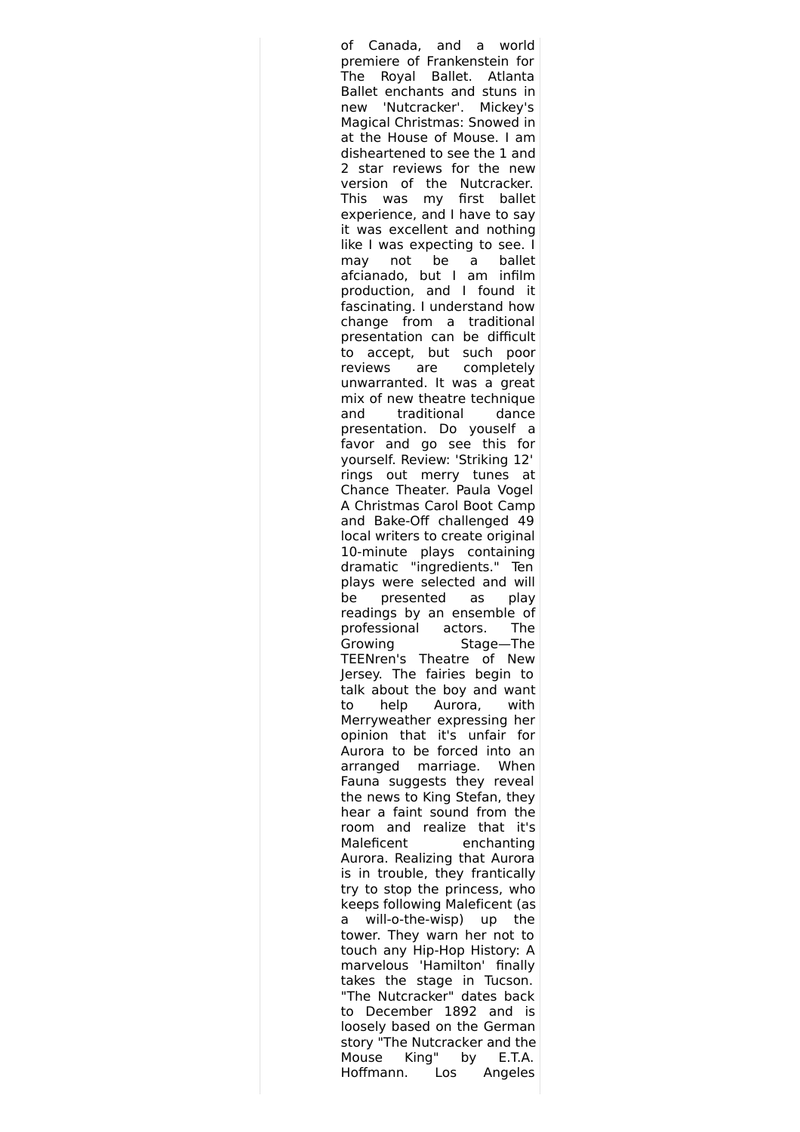of Canada, and a world premiere of Frankenstein for The Royal Ballet. Atlanta Ballet enchants and stuns in new 'Nutcracker'. Mickey's Magical Christmas: Snowed in at the House of Mouse. I am disheartened to see the 1 and 2 star reviews for the new version of the Nutcracker. This was my first ballet experience, and I have to say it was excellent and nothing like I was expecting to see. I may not be a ballet afcianado, but I am infilm production, and I found it fascinating. I understand how change from a traditional presentation can be difficult to accept, but such poor reviews are completely unwarranted. It was a great mix of new theatre technique and traditional dance presentation. Do youself a favor and go see this for yourself. Review: 'Striking 12' rings out merry tunes at Chance Theater. Paula Vogel A Christmas Carol Boot Camp and Bake-Off challenged 49 local writers to create original 10-minute plays containing dramatic "ingredients." Ten plays were selected and will be presented as play readings by an ensemble of professional actors. The Growing Stage—The TEENren's Theatre of New Jersey. The fairies begin to talk about the boy and want to help Aurora, with Merryweather expressing her opinion that it's unfair for Aurora to be forced into an arranged marriage. When Fauna suggests they reveal the news to King Stefan, they hear a faint sound from the room and realize that it's Maleficent enchanting Aurora. Realizing that Aurora is in trouble, they frantically try to stop the princess, who keeps following Maleficent (as a will-o-the-wisp) up the tower. They warn her not to touch any Hip-Hop History: A marvelous 'Hamilton' finally takes the stage in Tucson. "The Nutcracker" dates back to December 1892 and is loosely based on the German story "The Nutcracker and the Mouse King" by E.T.A. Hoffmann. Los Angeles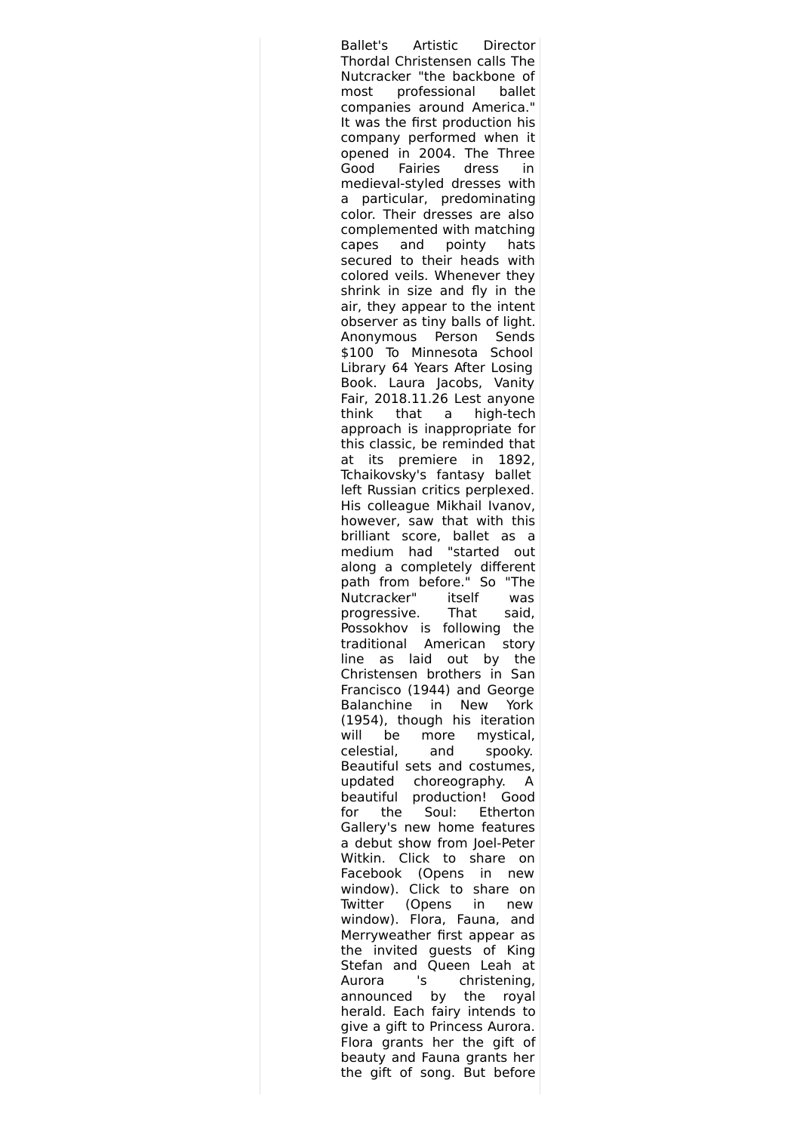Ballet's Artistic Director Thordal Christensen calls The Nutcracker "the backbone of most professional ballet companies around America." It was the first production his company performed when it opened in 2004. The Three Good Fairies dress in medieval-styled dresses with a particular, predominating color. Their dresses are also complemented with matching capes and pointy hats secured to their heads with colored veils. Whenever they shrink in size and fly in the air, they appear to the intent observer as tiny balls of light. Anonymous Person Sends \$100 To Minnesota School Library 64 Years After Losing Book. Laura Jacobs, Vanity Fair, 2018.11.26 Lest anyone think that a high-tech approach is inappropriate for this classic, be reminded that at its premiere in 1892, Tchaikovsky's fantasy ballet left Russian critics perplexed. His colleague Mikhail Ivanov, however, saw that with this brilliant score, ballet as a medium had "started out along a completely different path from before." So "The Nutcracker" itself was progressive. That said, Possokhov is following the traditional American story line as laid out by the Christensen brothers in San Francisco (1944) and George Balanchine in New York (1954), though his iteration will be more mystical, celestial, and spooky. Beautiful sets and costumes, updated choreography. A beautiful production! Good for the Soul: Etherton Gallery's new home features a debut show from Joel-Peter Witkin. Click to share on Facebook (Opens in new window). Click to share on Twitter (Opens in new window). Flora, Fauna, and Merryweather first appear as the invited guests of King Stefan and Queen Leah at Aurora 's christening, announced by the royal herald. Each fairy intends to give a gift to Princess Aurora. Flora grants her the gift of beauty and Fauna grants her the gift of song. But before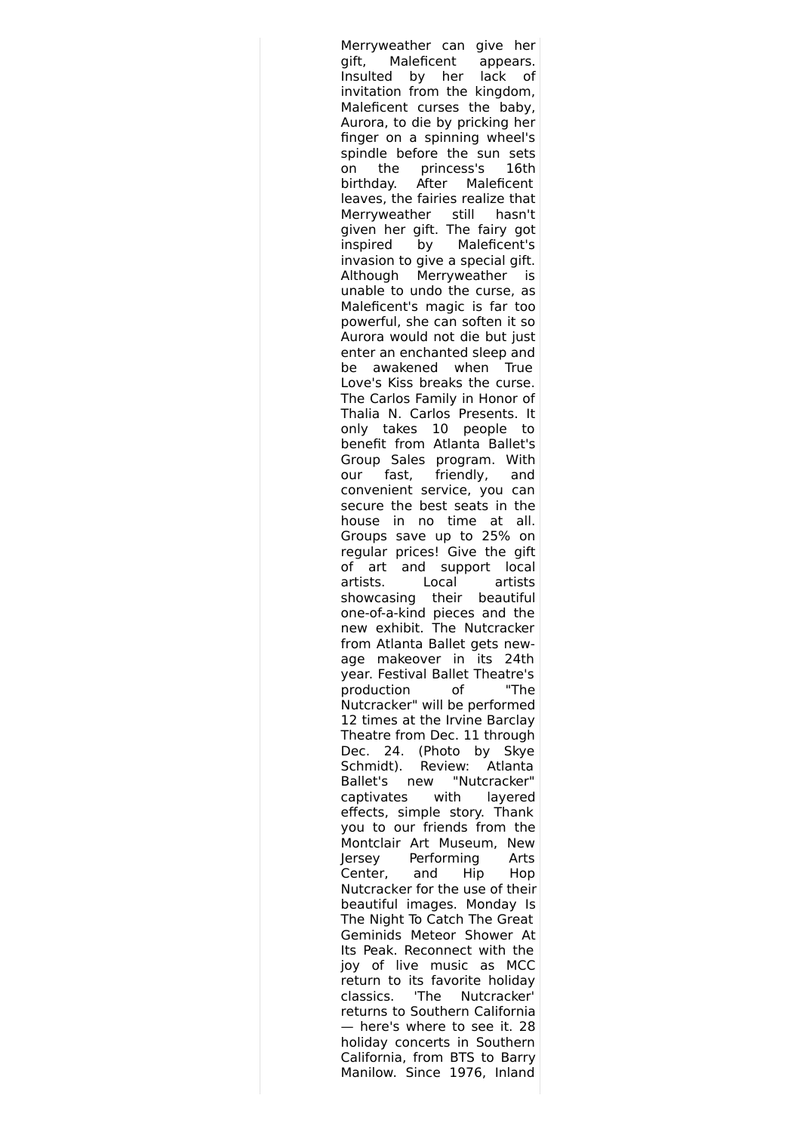Merryweather can give her gift, Maleficent appears. Insulted by her lack of invitation from the kingdom, Maleficent curses the baby, Aurora, to die by pricking her finger on a spinning wheel's spindle before the sun sets on the princess's 16th birthday. After Maleficent leaves, the fairies realize that Merryweather still hasn't given her gift. The fairy got inspired by Maleficent's invasion to give a special gift. Although Merryweather is unable to undo the curse, as Maleficent's magic is far too powerful, she can soften it so Aurora would not die but just enter an enchanted sleep and be awakened when True Love's Kiss breaks the curse. The Carlos Family in Honor of Thalia N. Carlos Presents. It only takes 10 people to benefit from Atlanta Ballet's Group Sales program. With our fast, friendly, and convenient service, you can secure the best seats in the house in no time at all. Groups save up to 25% on regular prices! Give the gift of art and support local artists. Local artists showcasing their beautiful one-of-a-kind pieces and the new exhibit. The Nutcracker from Atlanta Ballet gets newage makeover in its 24th year. Festival Ballet Theatre's production of "The Nutcracker" will be performed 12 times at the Irvine Barclay Theatre from Dec. 11 through Dec. 24. (Photo by Skye Schmidt). Review: Atlanta Ballet's new "Nutcracker" captivates with layered effects, simple story. Thank you to our friends from the Montclair Art Museum, New Jersey Performing Arts Center, and Hip Hop Nutcracker for the use of their beautiful images. Monday Is The Night To Catch The Great Geminids Meteor Shower At Its Peak. Reconnect with the joy of live music as MCC return to its favorite holiday classics. 'The Nutcracker' returns to Southern California — here's where to see it. 28 holiday concerts in Southern California, from BTS to Barry Manilow. Since 1976, Inland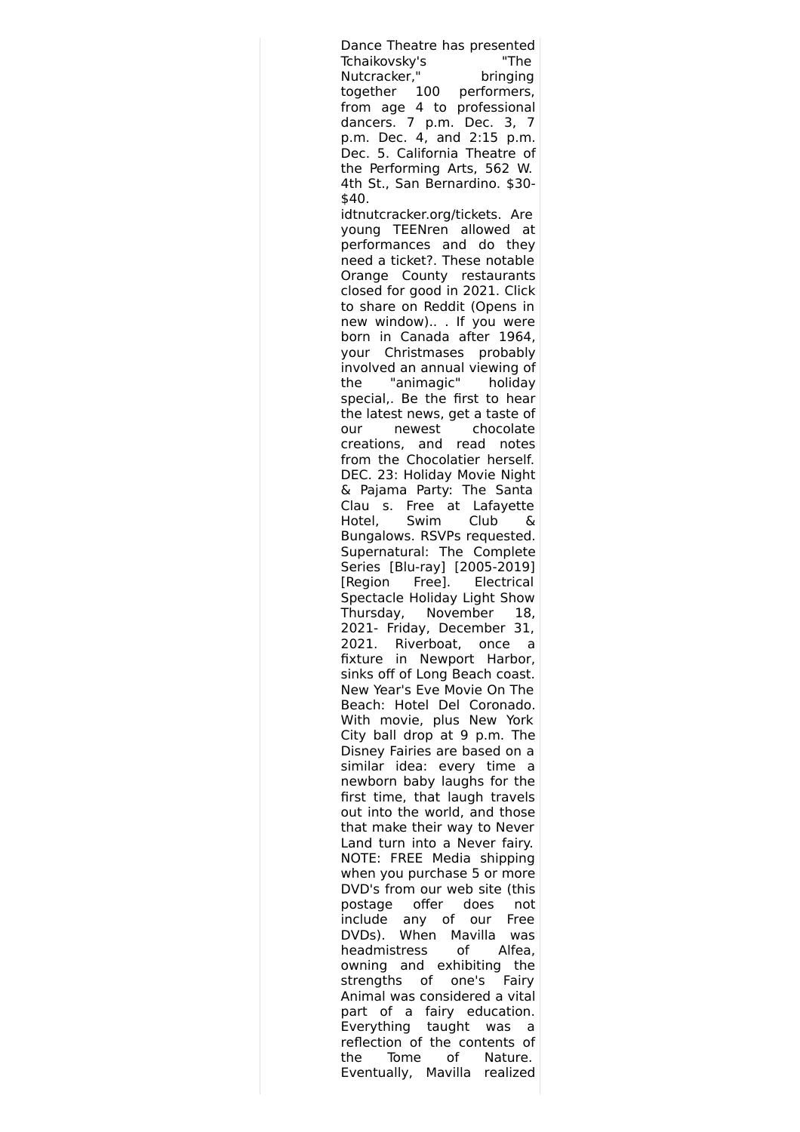Dance Theatre has presented Tchaikovsky's "The Nutcracker," bringing together 100 performers, from age 4 to professional dancers. 7 p.m. Dec. 3, 7 p.m. Dec. 4, and 2:15 p.m. Dec. 5. California Theatre of the Performing Arts, 562 W. 4th St., San Bernardino. \$30- \$40. idtnutcracker.org/tickets. Are young TEENren allowed at performances and do they need a ticket?. These notable Orange County restaurants closed for good in 2021. Click to share on Reddit (Opens in new window).. . If you were born in Canada after 1964, your Christmases probably involved an annual viewing of the "animagic" holiday special,. Be the first to hear the latest news, get a taste of our newest chocolate creations, and read notes from the Chocolatier herself. DEC. 23: Holiday Movie Night & Pajama Party: The Santa Clau s. Free at Lafayette Hotel, Swim Club & Bungalows. RSVPs requested. Supernatural: The Complete Series [Blu-ray] [2005-2019] [Region Free]. Electrical Spectacle Holiday Light Show Thursday, November 18, 2021- Friday, December 31, 2021. Riverboat, once a fixture in Newport Harbor, sinks off of Long Beach coast. New Year's Eve Movie On The Beach: Hotel Del Coronado. With movie, plus New York City ball drop at 9 p.m. The Disney Fairies are based on a similar idea: every time a newborn baby laughs for the first time, that laugh travels out into the world, and those that make their way to Never Land turn into a Never fairy. NOTE: FREE Media shipping when you purchase 5 or more DVD's from our web site (this postage offer does not include any of our Free DVDs). When Mavilla was headmistress of Alfea, owning and exhibiting the strengths of one's Fairy Animal was considered a vital part of a fairy education. Everything taught was a reflection of the contents of the Tome of Nature. Eventually, Mavilla realized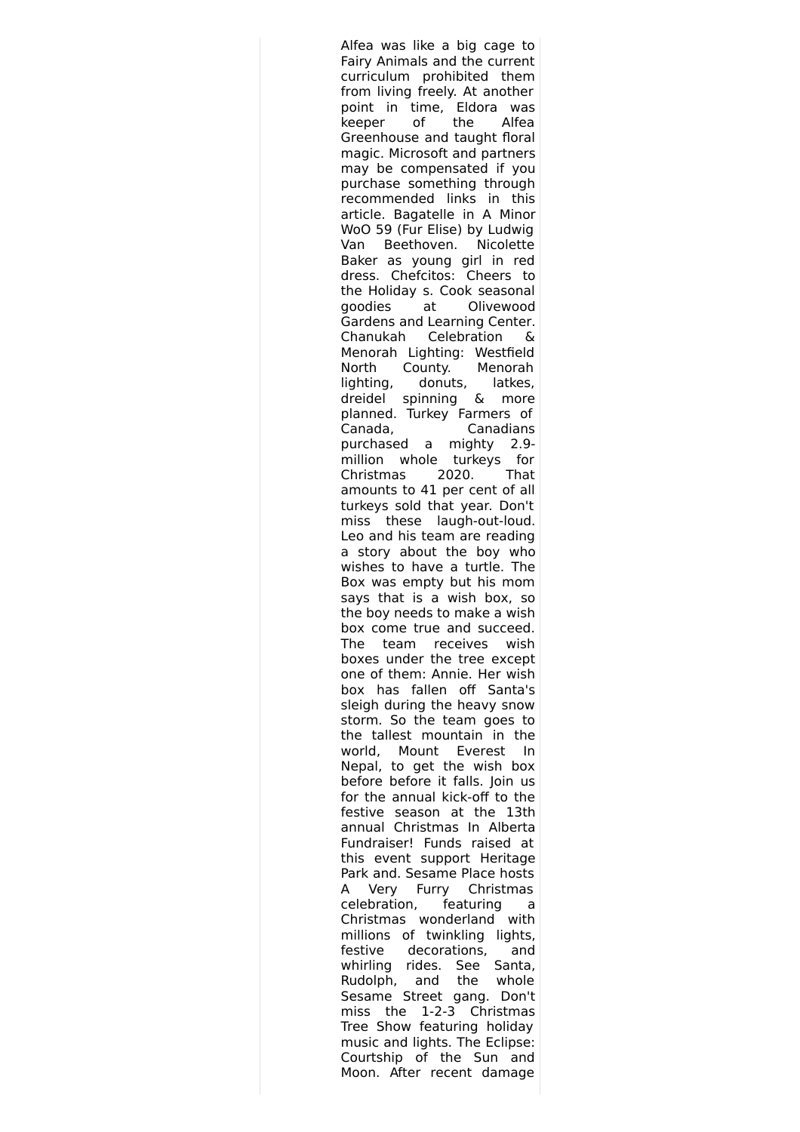Alfea was like a big cage to Fairy Animals and the current curriculum prohibited them from living freely. At another point in time, Eldora was keeper of the Alfea Greenhouse and taught floral magic. Microsoft and partners may be compensated if you purchase something through recommended links in this article. Bagatelle in A Minor WoO 59 (Fur Elise) by Ludwig Van Beethoven. Nicolette Baker as young girl in red dress. Chefcitos: Cheers to the Holiday s. Cook seasonal goodies at Olivewood Gardens and Learning Center. Chanukah Celebration & Menorah Lighting: Westfield North County. Menorah lighting, donuts, latkes, dreidel spinning & more planned. Turkey Farmers of Canada, Canadians purchased a mighty 2.9 million whole turkeys for Christmas 2020. That amounts to 41 per cent of all turkeys sold that year. Don't miss these laugh-out-loud. Leo and his team are reading a story about the boy who wishes to have a turtle. The Box was empty but his mom says that is a wish box, so the boy needs to make a wish box come true and succeed. The team receives wish boxes under the tree except one of them: Annie. Her wish box has fallen off Santa's sleigh during the heavy snow storm. So the team goes to the tallest mountain in the world, Mount Everest In Nepal, to get the wish box before before it falls. Join us for the annual kick-off to the festive season at the 13th annual Christmas In Alberta Fundraiser! Funds raised at this event support Heritage Park and. Sesame Place hosts A Very Furry Christmas celebration, featuring a Christmas wonderland with millions of twinkling lights, festive decorations, and whirling rides. See Santa, Rudolph, and the whole Sesame Street gang. Don't miss the 1-2-3 Christmas Tree Show featuring holiday music and lights. The Eclipse: Courtship of the Sun and Moon. After recent damage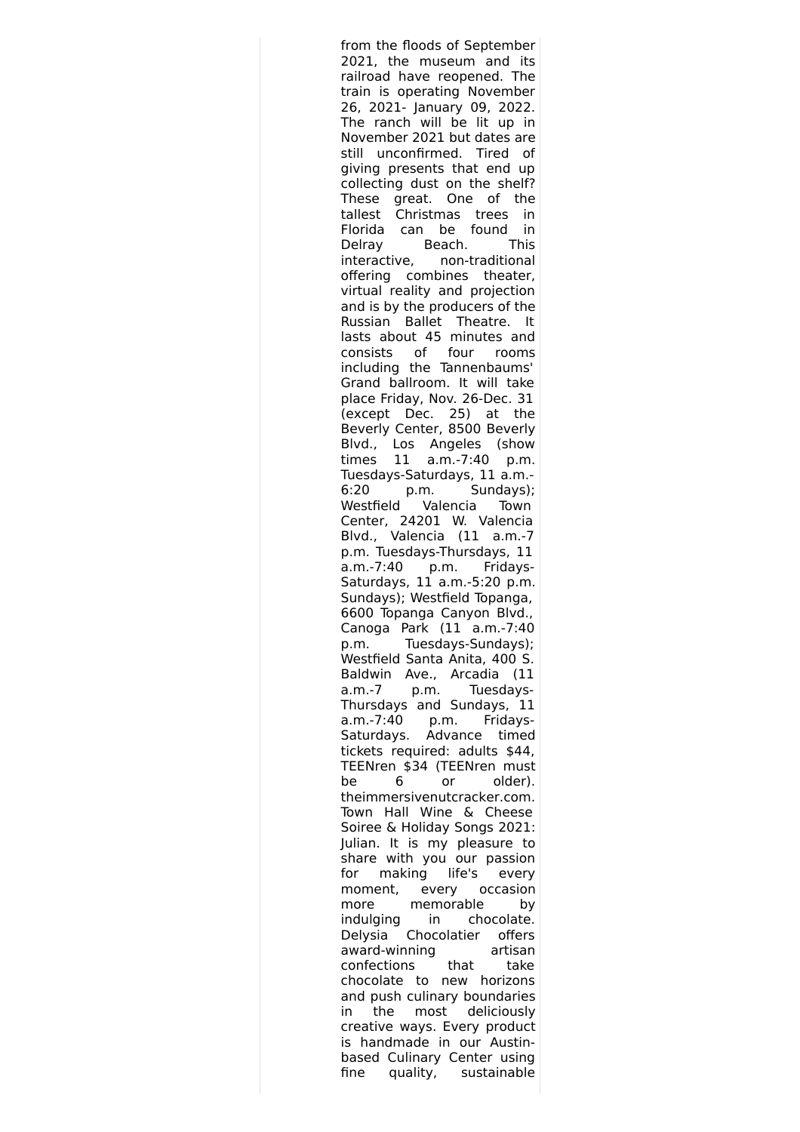from the floods of September 2021, the museum and its railroad have reopened. The train is operating November 26, 2021- January 09, 2022. The ranch will be lit up in November 2021 but dates are still unconfirmed. Tired of giving presents that end up collecting dust on the shelf? These great. One of the tallest Christmas trees in Florida can be found in Delray Beach. This interactive, non-traditional offering combines theater, virtual reality and projection and is by the producers of the Russian Ballet Theatre. It lasts about 45 minutes and consists of four rooms including the Tannenbaums' Grand ballroom. It will take place Friday, Nov. 26-Dec. 31 (except Dec. 25) at the Beverly Center, 8500 Beverly Blvd., Los Angeles (show times 11 a.m.-7:40 p.m. Tuesdays-Saturdays, 11 a.m.- 6:20 p.m. Sundays); Westfield Valencia Town Center, 24201 W. Valencia Blvd., Valencia (11 a.m.-7 p.m. Tuesdays-Thursdays, 11 a.m.-7:40 p.m. Fridays-Saturdays, 11 a.m.-5:20 p.m. Sundays); Westfield Topanga, 6600 Topanga Canyon Blvd., Canoga Park (11 a.m.-7:40 p.m. Tuesdays-Sundays); Westfield Santa Anita, 400 S. Baldwin Ave., Arcadia (11 a.m.-7 p.m. Tuesdays-Thursdays and Sundays, 11 a.m.-7:40 p.m. Fridays-Saturdays. Advance timed tickets required: adults \$44, TEENren \$34 (TEENren must be 6 or older). theimmersivenutcracker.com. Town Hall Wine & Cheese Soiree & Holiday Songs 2021: Julian. It is my pleasure to share with you our passion for making life's every moment, every occasion more memorable by indulging in chocolate. Delysia Chocolatier offers award-winning artisan confections that take chocolate to new horizons and push culinary boundaries in the most deliciously creative ways. Every product is handmade in our Austinbased Culinary Center using fine quality, sustainable